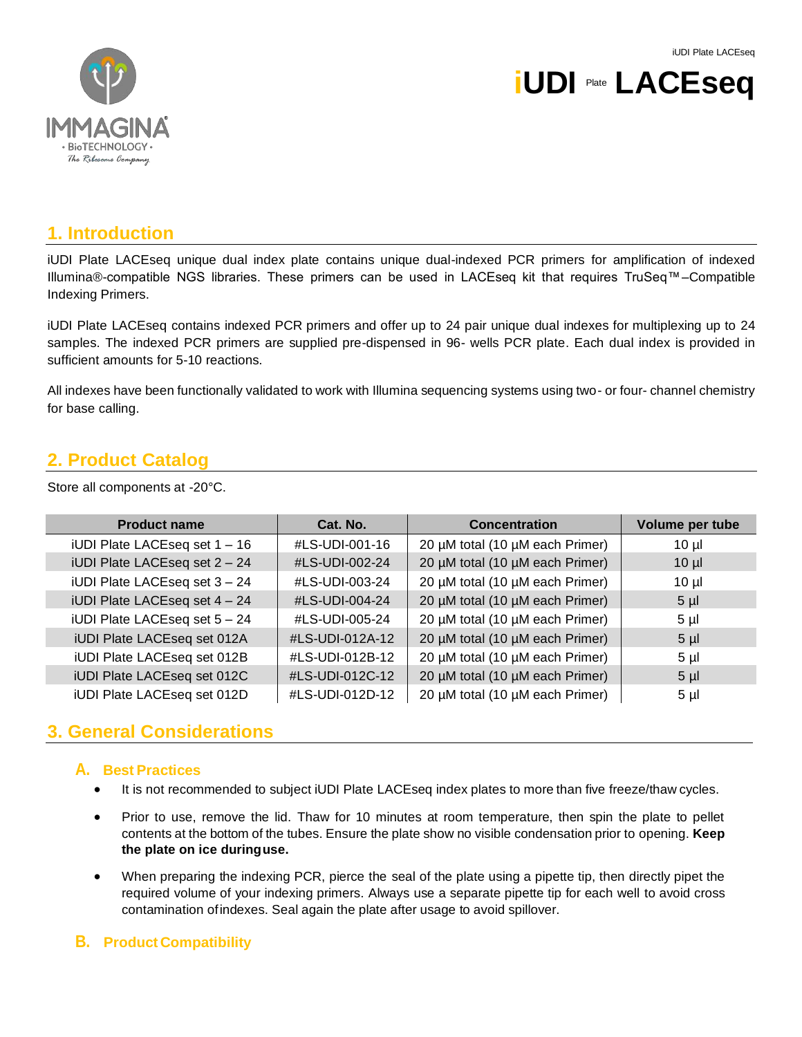

# **iUDI** Plate **LACEseq**

## **1. Introduction**

iUDI Plate LACEseq unique dual index plate contains unique dual-indexed PCR primers for amplification of indexed Illumina®-compatible NGS libraries. These primers can be used in LACEseq kit that requires TruSeq™–Compatible Indexing Primers.

iUDI Plate LACEseq contains indexed PCR primers and offer up to 24 pair unique dual indexes for multiplexing up to 24 samples. The indexed PCR primers are supplied pre-dispensed in 96- wells PCR plate. Each dual index is provided in sufficient amounts for 5-10 reactions.

All indexes have been functionally validated to work with Illumina sequencing systems using two- or four- channel chemistry for base calling.

# **2. Product Catalog**

Store all components at -20°C.

| <b>Product name</b>           | Cat. No.        | <b>Concentration</b>            | Volume per tube |
|-------------------------------|-----------------|---------------------------------|-----------------|
| iUDI Plate LACEseq set 1 - 16 | #LS-UDI-001-16  | 20 µM total (10 µM each Primer) | $10 \mu$        |
| iUDI Plate LACEseq set 2 - 24 | #LS-UDI-002-24  | 20 µM total (10 µM each Primer) | $10 \mu$        |
| iUDI Plate LACEseq set 3 - 24 | #LS-UDI-003-24  | 20 µM total (10 µM each Primer) | $10 \mu$        |
| iUDI Plate LACEseq set 4 - 24 | #LS-UDI-004-24  | 20 µM total (10 µM each Primer) | $5 \mu$         |
| iUDI Plate LACEseq set 5 - 24 | #LS-UDI-005-24  | 20 µM total (10 µM each Primer) | $5 \mu$         |
| iUDI Plate LACEseq set 012A   | #LS-UDI-012A-12 | 20 µM total (10 µM each Primer) | $5 \mu$         |
| iUDI Plate LACEseq set 012B   | #LS-UDI-012B-12 | 20 µM total (10 µM each Primer) | $5 \mu$         |
| iUDI Plate LACEseq set 012C   | #LS-UDI-012C-12 | 20 µM total (10 µM each Primer) | $5 \mu$         |
| iUDI Plate LACEseq set 012D   | #LS-UDI-012D-12 | 20 µM total (10 µM each Primer) | $5 \mu$         |

# **3. General Considerations**

#### **A. Best Practices**

- It is not recommended to subject iUDI Plate LACEseq index plates to more than five freeze/thaw cycles.
- Prior to use, remove the lid. Thaw for 10 minutes at room temperature, then spin the plate to pellet contents at the bottom of the tubes. Ensure the plate show no visible condensation prior to opening. **Keep the plate on ice duringuse.**
- When preparing the indexing PCR, pierce the seal of the plate using a pipette tip, then directly pipet the required volume of your indexing primers. Always use a separate pipette tip for each well to avoid cross contamination ofindexes. Seal again the plate after usage to avoid spillover.

#### **B. Product Compatibility**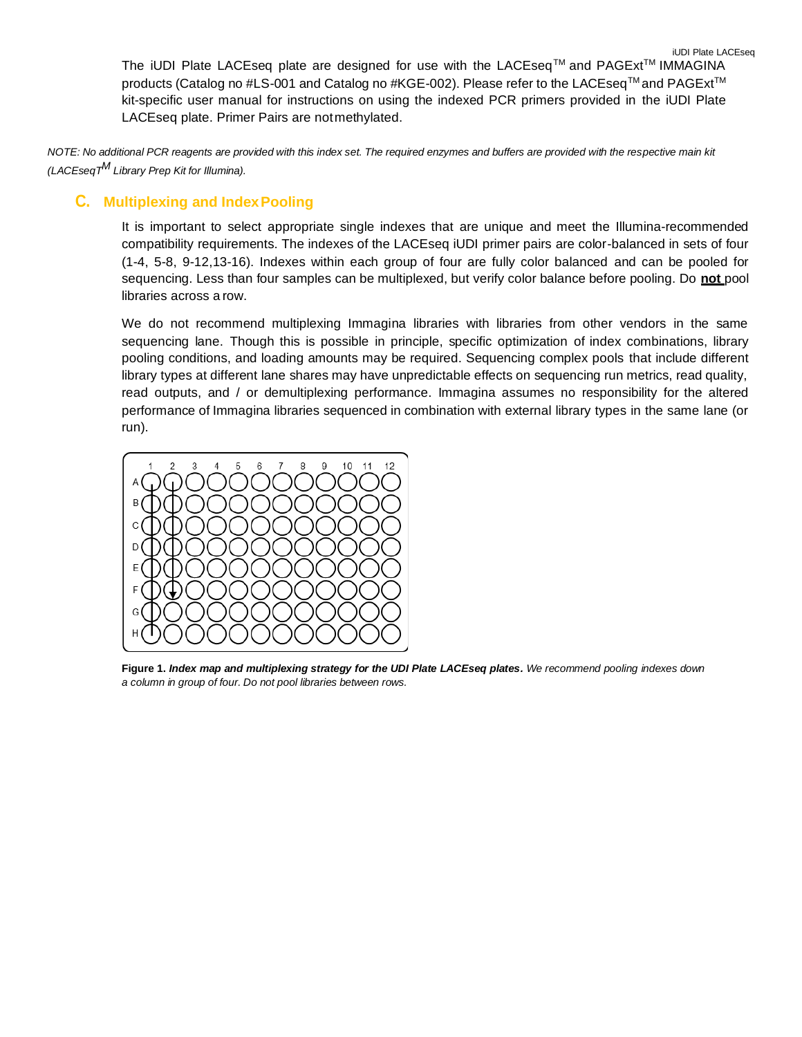iUDI Plate LACEseq The iUDI Plate LACEseq plate are designed for use with the LACEseq™ and PAGExt™ IMMAGINA products (Catalog no #LS-001 and Catalog no #KGE-002). Please refer to the LACEseq™ and PAGExt™ kit-specific user manual for instructions on using the indexed PCR primers provided in the iUDI Plate LACEseq plate. Primer Pairs are notmethylated.

*NOTE: No additional PCR reagents are provided with this index set. The required enzymes and buffers are provided with the respective main kit (LACEseqTM Library Prep Kit for Illumina).*

### **C. Multiplexing and IndexPooling**

It is important to select appropriate single indexes that are unique and meet the Illumina-recommended compatibility requirements. The indexes of the LACEseq iUDI primer pairs are color-balanced in sets of four (1-4, 5-8, 9-12,13-16). Indexes within each group of four are fully color balanced and can be pooled for sequencing. Less than four samples can be multiplexed, but verify color balance before pooling. Do **not** pool libraries across a row.

We do not recommend multiplexing Immagina libraries with libraries from other vendors in the same sequencing lane. Though this is possible in principle, specific optimization of index combinations, library pooling conditions, and loading amounts may be required. Sequencing complex pools that include different library types at different lane shares may have unpredictable effects on sequencing run metrics, read quality, read outputs, and / or demultiplexing performance. Immagina assumes no responsibility for the altered performance of Immagina libraries sequenced in combination with external library types in the same lane (or run).



**Figure 1.** *Index map and multiplexing strategy for the UDI Plate LACEseq plates. We recommend pooling indexes down a column in group of four. Do not pool libraries between rows.*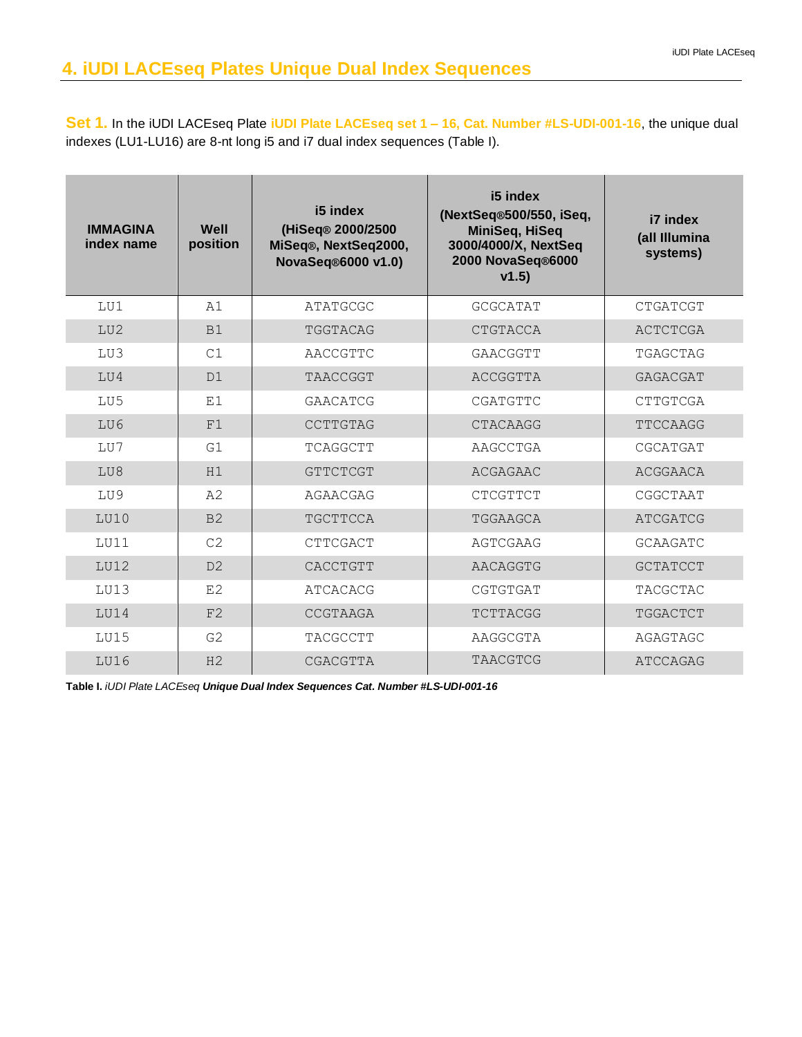**Set 1.** In the iUDI LACEseq Plate **iUDI Plate LACEseq set 1 – 16, Cat. Number #LS-UDI-001-16**, the unique dual indexes (LU1-LU16) are 8-nt long i5 and i7 dual index sequences (Table I).

| <b>IMMAGINA</b><br>index name | Well<br>position | i5 index<br>(HiSeq® 2000/2500<br>MiSeq®, NextSeq2000,<br>NovaSeq®6000 v1.0) | i5 index<br>(NextSeq®500/550, iSeq,<br>MiniSeq, HiSeq<br>3000/4000/X, NextSeq<br>2000 NovaSeq®6000<br>v1.5) | i7 index<br>(all Illumina<br>systems) |
|-------------------------------|------------------|-----------------------------------------------------------------------------|-------------------------------------------------------------------------------------------------------------|---------------------------------------|
| LU1                           | A1               | ATATGCGC                                                                    | GCGCATAT                                                                                                    | CTGATCGT                              |
| LU2                           | B1               | TGGTACAG                                                                    | CTGTACCA                                                                                                    | ACTCTCGA                              |
| LU3                           | C1               | AACCGTTC                                                                    | GAACGGTT                                                                                                    | TGAGCTAG                              |
| LU4                           | D1               | TAACCGGT                                                                    | ACCGGTTA                                                                                                    | GAGACGAT                              |
| LU5                           | E1               | GAACATCG                                                                    | CGATGTTC                                                                                                    | CTTGTCGA                              |
| LU6                           | F1               | CCTTGTAG                                                                    | CTACAAGG                                                                                                    | TTCCAAGG                              |
| LU7                           | G1               | TCAGGCTT                                                                    | AAGCCTGA                                                                                                    | CGCATGAT                              |
| LU8                           | H1               | GTTCTCGT                                                                    | ACGAGAAC                                                                                                    | ACGGAACA                              |
| LU9                           | A2               | AGAACGAG                                                                    | CTCGTTCT                                                                                                    | CGGCTAAT                              |
| LU10                          | B <sub>2</sub>   | TGCTTCCA                                                                    | TGGAAGCA                                                                                                    | ATCGATCG                              |
| LUI1                          | C <sub>2</sub>   | CTTCGACT                                                                    | AGTCGAAG                                                                                                    | GCAAGATC                              |
| LUI2                          | D2               | CACCTGTT                                                                    | AACAGGTG                                                                                                    | <b>GCTATCCT</b>                       |
| LU13                          | E2               | <b>ATCACACG</b>                                                             | CGTGTGAT                                                                                                    | <b>TACGCTAC</b>                       |
| LU14                          | F2               | CCGTAAGA                                                                    | TCTTACGG                                                                                                    | TGGACTCT                              |
| LU15                          | G <sub>2</sub>   | TACGCCTT                                                                    | AAGGCGTA                                                                                                    | AGAGTAGC                              |
| LU16                          | H <sub>2</sub>   | CGACGTTA                                                                    | TAACGTCG                                                                                                    | ATCCAGAG                              |

**Table I.** *iUDI Plate LACEseq Unique Dual Index Sequences Cat. Number #LS-UDI-001-16*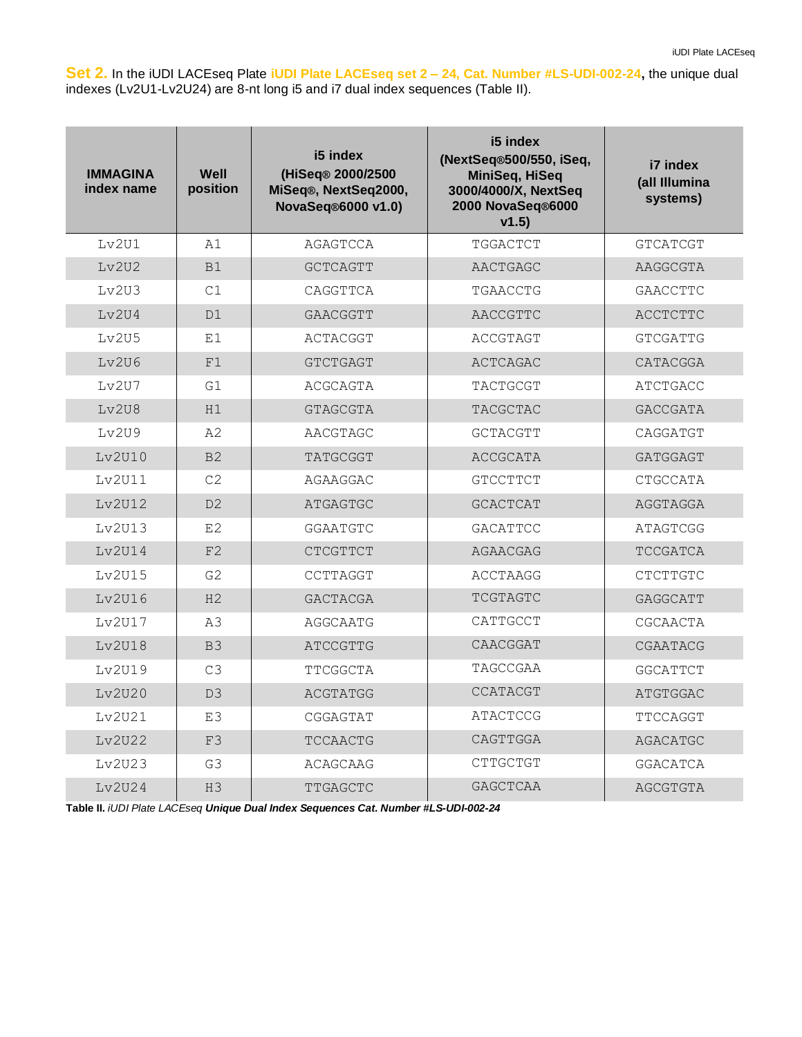**Set 2.** In the iUDI LACEseq Plate **iUDI Plate LACEseq set 2 – 24, Cat. Number #LS-UDI-002-24,** the unique dual indexes (Lv2U1-Lv2U24) are 8-nt long i5 and i7 dual index sequences (Table II).

| <b>IMMAGINA</b><br>index name | Well<br>position | i5 index<br>(HiSeg® 2000/2500<br>MiSeq®, NextSeq2000,<br>NovaSeq®6000 v1.0) | i5 index<br>(NextSeq®500/550, iSeq,<br>MiniSeq, HiSeq<br>3000/4000/X, NextSeq<br>2000 NovaSeq®6000<br>v1.5) | i7 index<br>(all Illumina<br>systems) |
|-------------------------------|------------------|-----------------------------------------------------------------------------|-------------------------------------------------------------------------------------------------------------|---------------------------------------|
| Lv2U1                         | A1               | AGAGTCCA                                                                    | TGGACTCT                                                                                                    | <b>GTCATCGT</b>                       |
| Lv2U2                         | B1               | <b>GCTCAGTT</b>                                                             | AACTGAGC                                                                                                    | AAGGCGTA                              |
| Lv2U3                         | C1               | CAGGTTCA                                                                    | TGAACCTG                                                                                                    | GAACCTTC                              |
| Lv2U4                         | D1               | GAACGGTT                                                                    | AACCGTTC                                                                                                    | ACCTCTTC                              |
| Lv2U5                         | E1               | ACTACGGT                                                                    | ACCGTAGT                                                                                                    | <b>GTCGATTG</b>                       |
| Ly2U6                         | F1               | <b>GTCTGAGT</b>                                                             | ACTCAGAC                                                                                                    | CATACGGA                              |
| Lv2U7                         | G1               | ACGCAGTA                                                                    | TACTGCGT                                                                                                    | <b>ATCTGACC</b>                       |
| Lv2U8                         | H1               | <b>GTAGCGTA</b>                                                             | TACGCTAC                                                                                                    | <b>GACCGATA</b>                       |
| Lv2U9                         | A2               | AACGTAGC                                                                    | GCTACGTT                                                                                                    | CAGGATGT                              |
| Lv2U10                        | B <sub>2</sub>   | TATGCGGT                                                                    | ACCGCATA                                                                                                    | GATGGAGT                              |
| Lv2U11                        | C2               | AGAAGGAC                                                                    | <b>GTCCTTCT</b>                                                                                             | CTGCCATA                              |
| Lv2U12                        | D <sub>2</sub>   | ATGAGTGC                                                                    | <b>GCACTCAT</b>                                                                                             | AGGTAGGA                              |
| Lv2U13                        | E <sub>2</sub>   | <b>GGAATGTC</b>                                                             | GACATTCC                                                                                                    | ATAGTCGG                              |
| Lv2U14                        | F2               | <b>CTCGTTCT</b>                                                             | AGAACGAG                                                                                                    | <b>TCCGATCA</b>                       |
| Lv2U15                        | G <sub>2</sub>   | CCTTAGGT                                                                    | <b>ACCTAAGG</b>                                                                                             | CTCTTGTC                              |
| Lv2U16                        | H <sub>2</sub>   | <b>GACTACGA</b>                                                             | TCGTAGTC                                                                                                    | GAGGCATT                              |
| Lv2U17                        | A3               | AGGCAATG                                                                    | CATTGCCT                                                                                                    | CGCAACTA                              |
| Lv2U18                        | B <sub>3</sub>   | ATCCGTTG                                                                    | CAACGGAT                                                                                                    | CGAATACG                              |
| Lv2U19                        | C3               | TTCGGCTA                                                                    | TAGCCGAA                                                                                                    | <b>GGCATTCT</b>                       |
| Lv2U20                        | D3               | ACGTATGG                                                                    | CCATACGT                                                                                                    | ATGTGGAC                              |
| Lv2U21                        | E3               | CGGAGTAT                                                                    | ATACTCCG                                                                                                    | TTCCAGGT                              |
| Lv2U22                        | F3               | TCCAACTG                                                                    | CAGTTGGA                                                                                                    | AGACATGC                              |
| Lv2U23                        | G3               | ACAGCAAG                                                                    | CTTGCTGT                                                                                                    | <b>GGACATCA</b>                       |
| Lv2U24                        | H <sub>3</sub>   | TTGAGCTC                                                                    | <b>GAGCTCAA</b>                                                                                             | AGCGTGTA                              |

**Table II.** *iUDI Plate LACEseq Unique Dual Index Sequences Cat. Number #LS-UDI-002-24*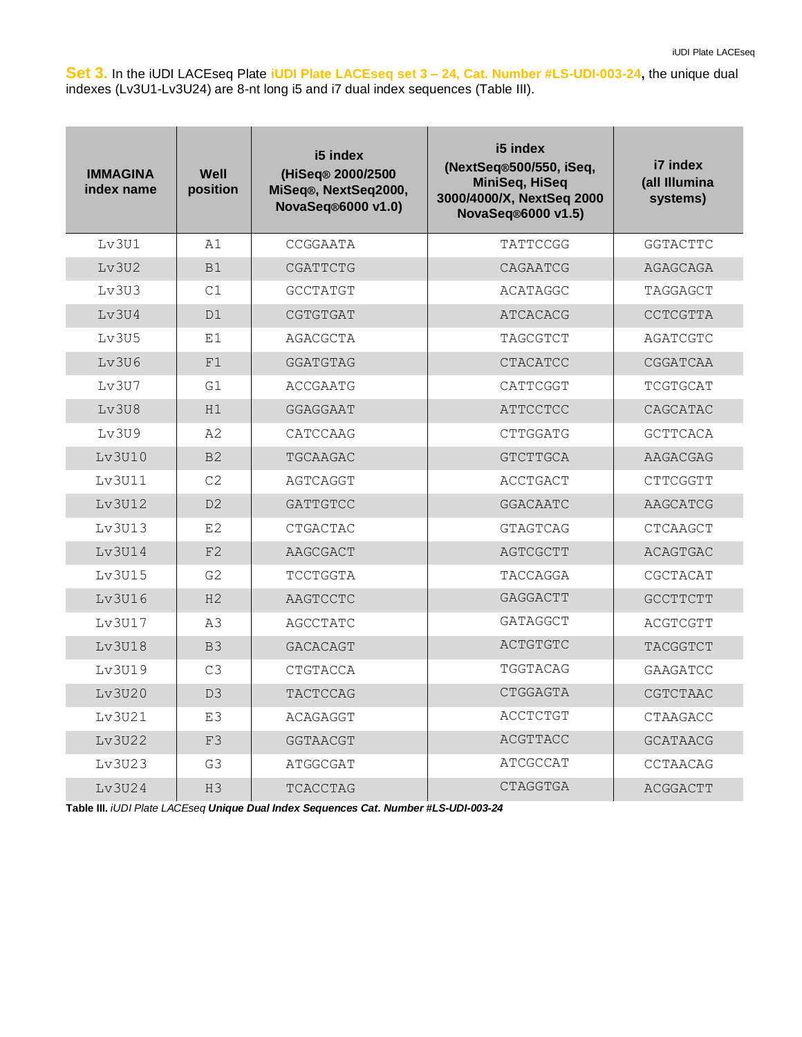**Set 3.** In the iUDI LACEseq Plate **iUDI Plate LACEseq set 3 – 24, Cat. Number #LS-UDI-003-24,** the unique dual indexes (Lv3U1-Lv3U24) are 8-nt long i5 and i7 dual index sequences (Table III).

| <b>IMMAGINA</b><br>index name | Well<br>position | i5 index<br>(HiSeq® 2000/2500<br>MiSeq®, NextSeq2000,<br>NovaSeq®6000 v1.0) | i5 index<br>(NextSeq®500/550, iSeq,<br>MiniSeq, HiSeq<br>3000/4000/X, NextSeq 2000<br>NovaSeq®6000 v1.5) | i7 index<br>(all Illumina<br>systems) |
|-------------------------------|------------------|-----------------------------------------------------------------------------|----------------------------------------------------------------------------------------------------------|---------------------------------------|
| Lv3U1                         | A1               | CCGGAATA                                                                    | TATTCCGG                                                                                                 | GGTACTTC                              |
| Lv3U2                         | B1               | CGATTCTG                                                                    | CAGAATCG                                                                                                 | AGAGCAGA                              |
| Lv3U3                         | C1               | <b>GCCTATGT</b>                                                             | ACATAGGC                                                                                                 | TAGGAGCT                              |
| Lv3U4                         | D1               | CGTGTGAT                                                                    | ATCACACG                                                                                                 | <b>CCTCGTTA</b>                       |
| Lv3U5                         | E1               | AGACGCTA                                                                    | TAGCGTCT                                                                                                 | AGATCGTC                              |
| Ly3U6                         | F1               | <b>GGATGTAG</b>                                                             | <b>CTACATCC</b>                                                                                          | CGGATCAA                              |
| Lv3U7                         | G1               | ACCGAATG                                                                    | CATTCGGT                                                                                                 | TCGTGCAT                              |
| Ly3U8                         | H1               | GGAGGAAT                                                                    | ATTCCTCC                                                                                                 | CAGCATAC                              |
| Lv3U9                         | A2               | CATCCAAG                                                                    | CTTGGATG                                                                                                 | <b>GCTTCACA</b>                       |
| Lv3U10                        | B <sub>2</sub>   | TGCAAGAC                                                                    | <b>GTCTTGCA</b>                                                                                          | AAGACGAG                              |
| Lv3U11                        | C <sub>2</sub>   | AGTCAGGT                                                                    | <b>ACCTGACT</b>                                                                                          | CTTCGGTT                              |
| Lv3U12                        | D2               | <b>GATTGTCC</b>                                                             | <b>GGACAATC</b>                                                                                          | AAGCATCG                              |
| Lv3U13                        | E <sub>2</sub>   | CTGACTAC                                                                    | <b>GTAGTCAG</b>                                                                                          | <b>CTCAAGCT</b>                       |
| Lv3U14                        | F2               | AAGCGACT                                                                    | AGTCGCTT                                                                                                 | <b>ACAGTGAC</b>                       |
| Lv3U15                        | G <sub>2</sub>   | TCCTGGTA                                                                    | TACCAGGA                                                                                                 | CGCTACAT                              |
| Lv3U16                        | H <sub>2</sub>   | AAGTCCTC                                                                    | GAGGACTT                                                                                                 | <b>GCCTTCTT</b>                       |
| Lv3U17                        | A3               | AGCCTATC                                                                    | GATAGGCT                                                                                                 | ACGTCGTT                              |
| Lv3U18                        | B <sub>3</sub>   | <b>GACACAGT</b>                                                             | ACTGTGTC                                                                                                 | <b>TACGGTCT</b>                       |
| Lv3U19                        | C <sub>3</sub>   | CTGTACCA                                                                    | TGGTACAG                                                                                                 | GAAGATCC                              |
| Ly3U20                        | D <sub>3</sub>   | TACTCCAG                                                                    | CTGGAGTA                                                                                                 | CGTCTAAC                              |
| Lv3U21                        | E3               | ACAGAGGT                                                                    | ACCTCTGT                                                                                                 | CTAAGACC                              |
| Lv3U22                        | F3               | GGTAACGT                                                                    | ACGTTACC                                                                                                 | <b>GCATAACG</b>                       |
| Lv3U23                        | G3               | ATGGCGAT                                                                    | ATCGCCAT                                                                                                 | CCTAACAG                              |
| Lv3U24                        | H <sub>3</sub>   | TCACCTAG                                                                    | <b>CTAGGTGA</b>                                                                                          | ACGGACTT                              |

**Table III.** *iUDI Plate LACEseq Unique Dual Index Sequences Cat. Number #LS-UDI-003-24*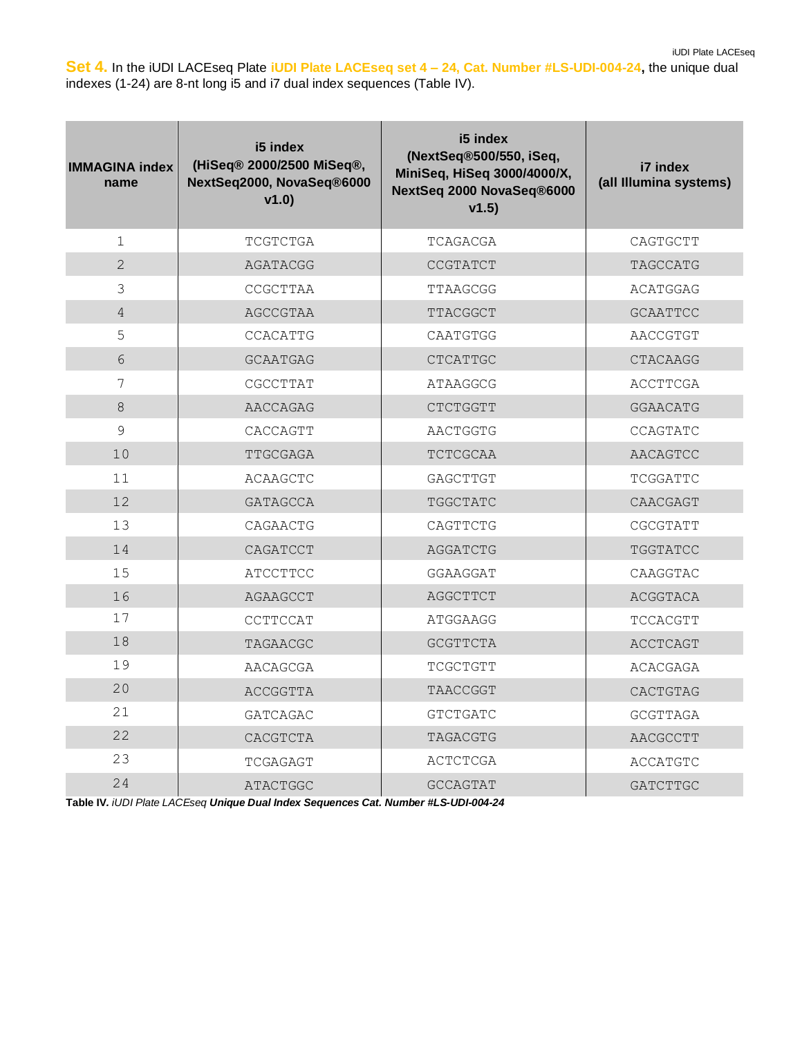iUDI Plate LACEseq

**Set 4.** In the iUDI LACEseq Plate **iUDI Plate LACEseq set 4 – 24, Cat. Number #LS-UDI-004-24,** the unique dual indexes (1-24) are 8-nt long i5 and i7 dual index sequences (Table IV).

| <b>IMMAGINA index</b><br>name | i5 index<br>(HiSeq® 2000/2500 MiSeq®,<br>NextSeq2000, NovaSeq®6000<br>v1.0 | i5 index<br>(NextSeq®500/550, iSeq,<br>MiniSeq, HiSeq 3000/4000/X,<br>NextSeq 2000 NovaSeq®6000<br>v1.5) | i7 index<br>(all Illumina systems) |
|-------------------------------|----------------------------------------------------------------------------|----------------------------------------------------------------------------------------------------------|------------------------------------|
| $\mathbf 1$                   | TCGTCTGA                                                                   | TCAGACGA                                                                                                 | CAGTGCTT                           |
| $\overline{2}$                | AGATACGG                                                                   | CCGTATCT                                                                                                 | TAGCCATG                           |
| 3                             | CCGCTTAA                                                                   | TTAAGCGG                                                                                                 | ACATGGAG                           |
| $\overline{4}$                | AGCCGTAA                                                                   | <b>TTACGGCT</b>                                                                                          | <b>GCAATTCC</b>                    |
| 5                             | CCACATTG                                                                   | CAATGTGG                                                                                                 | AACCGTGT                           |
| 6                             | <b>GCAATGAG</b>                                                            | <b>CTCATTGC</b>                                                                                          | CTACAAGG                           |
| 7                             | CGCCTTAT                                                                   | ATAAGGCG                                                                                                 | ACCTTCGA                           |
| 8                             | AACCAGAG                                                                   | CTCTGGTT                                                                                                 | <b>GGAACATG</b>                    |
| 9                             | CACCAGTT                                                                   | AACTGGTG                                                                                                 | CCAGTATC                           |
| 10                            | TTGCGAGA                                                                   | TCTCGCAA                                                                                                 | AACAGTCC                           |
| 11                            | ACAAGCTC                                                                   | GAGCTTGT                                                                                                 | TCGGATTC                           |
| 12                            | <b>GATAGCCA</b>                                                            | TGGCTATC                                                                                                 | CAACGAGT                           |
| 13                            | CAGAACTG                                                                   | CAGTTCTG                                                                                                 | CGCGTATT                           |
| 14                            | CAGATCCT                                                                   | <b>AGGATCTG</b>                                                                                          | TGGTATCC                           |
| 15                            | ATCCTTCC                                                                   | GGAAGGAT                                                                                                 | CAAGGTAC                           |
| 16                            | AGAAGCCT                                                                   | AGGCTTCT                                                                                                 | ACGGTACA                           |
| 17                            | CCTTCCAT                                                                   | ATGGAAGG                                                                                                 | TCCACGTT                           |
| 18                            | TAGAACGC                                                                   | <b>GCGTTCTA</b>                                                                                          | ACCTCAGT                           |
| 19                            | AACAGCGA                                                                   | TCGCTGTT                                                                                                 | <b>ACACGAGA</b>                    |
| 20                            | ACCGGTTA                                                                   | TAACCGGT                                                                                                 | CACTGTAG                           |
| 21                            | <b>GATCAGAC</b>                                                            | <b>GTCTGATC</b>                                                                                          | <b>GCGTTAGA</b>                    |
| 22                            | CACGTCTA                                                                   | TAGACGTG                                                                                                 | <b>AACGCCTT</b>                    |
| 23                            | TCGAGAGT                                                                   | <b>ACTCTCGA</b>                                                                                          | ACCATGTC                           |
| 24                            | ATACTGGC                                                                   | <b>GCCAGTAT</b>                                                                                          | GATCTTGC                           |

**Table IV***. iUDI Plate LACEseq Unique Dual Index Sequences Cat. Number #LS-UDI-004-24*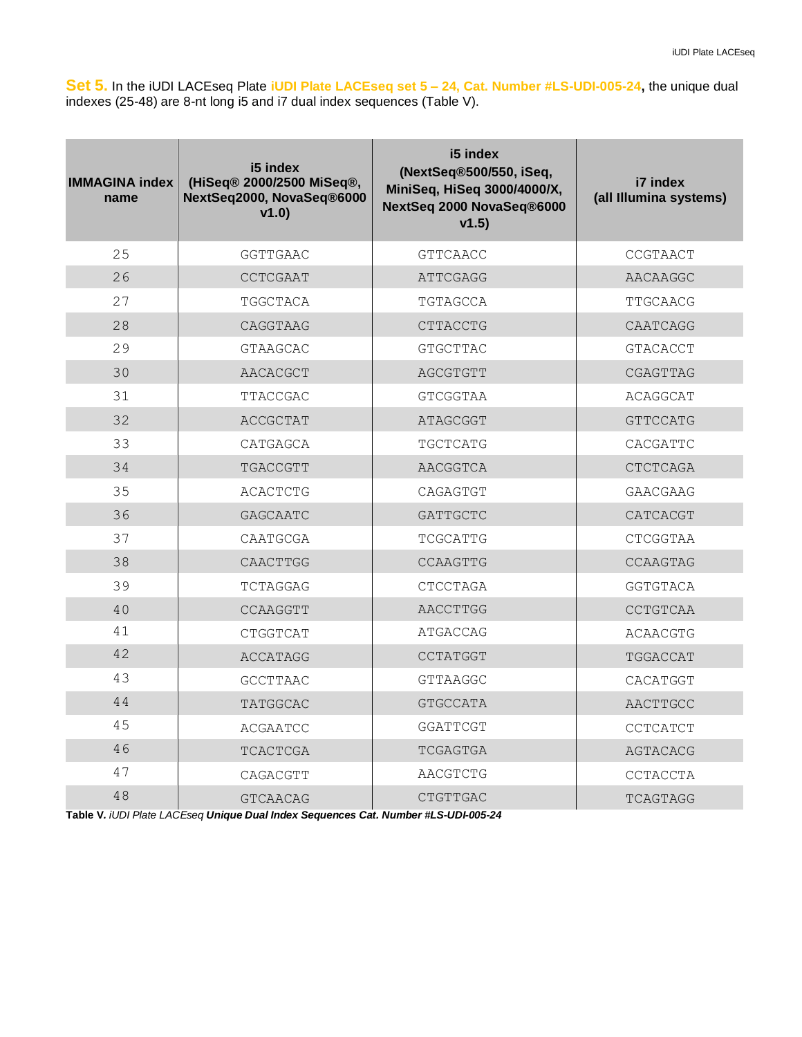**Set 5.** In the iUDI LACEseq Plate **iUDI Plate LACEseq set 5 – 24, Cat. Number #LS-UDI-005-24,** the unique dual indexes (25-48) are 8-nt long i5 and i7 dual index sequences (Table V).

| <b>IMMAGINA index</b><br>name | i5 index<br>(HiSeq® 2000/2500 MiSeq®,<br>NextSeq2000, NovaSeq®6000<br>v1.0 | i5 index<br>(NextSeq®500/550, iSeq,<br>MiniSeq, HiSeq 3000/4000/X,<br>NextSeq 2000 NovaSeq®6000<br>v1.5) | i7 index<br>(all Illumina systems) |
|-------------------------------|----------------------------------------------------------------------------|----------------------------------------------------------------------------------------------------------|------------------------------------|
| 25                            | <b>GGTTGAAC</b>                                                            | <b>GTTCAACC</b>                                                                                          | CCGTAACT                           |
| 26                            | CCTCGAAT                                                                   | ATTCGAGG                                                                                                 | AACAAGGC                           |
| 27                            | TGGCTACA                                                                   | TGTAGCCA                                                                                                 | TTGCAACG                           |
| 28                            | CAGGTAAG                                                                   | CTTACCTG                                                                                                 | CAATCAGG                           |
| 29                            | <b>GTAAGCAC</b>                                                            | <b>GTGCTTAC</b>                                                                                          | <b>GTACACCT</b>                    |
| 30                            | AACACGCT                                                                   | AGCGTGTT                                                                                                 | CGAGTTAG                           |
| 31                            | TTACCGAC                                                                   | <b>GTCGGTAA</b>                                                                                          | ACAGGCAT                           |
| 32                            | ACCGCTAT                                                                   | ATAGCGGT                                                                                                 | <b>GTTCCATG</b>                    |
| 33                            | CATGAGCA                                                                   | TGCTCATG                                                                                                 | CACGATTC                           |
| 34                            | TGACCGTT                                                                   | AACGGTCA                                                                                                 | <b>CTCTCAGA</b>                    |
| 35                            | <b>ACACTCTG</b>                                                            | CAGAGTGT                                                                                                 | <b>GAACGAAG</b>                    |
| 36                            | <b>GAGCAATC</b>                                                            | <b>GATTGCTC</b>                                                                                          | CATCACGT                           |
| 37                            | CAATGCGA                                                                   | TCGCATTG                                                                                                 | CTCGGTAA                           |
| 38                            | CAACTTGG                                                                   | CCAAGTTG                                                                                                 | CCAAGTAG                           |
| 39                            | TCTAGGAG                                                                   | CTCCTAGA                                                                                                 | <b>GGTGTACA</b>                    |
| 40                            | CCAAGGTT                                                                   | AACCTTGG                                                                                                 | CCTGTCAA                           |
| 41                            | CTGGTCAT                                                                   | ATGACCAG                                                                                                 | <b>ACAACGTG</b>                    |
| 42                            | ACCATAGG                                                                   | <b>CCTATGGT</b>                                                                                          | TGGACCAT                           |
| 43                            | GCCTTAAC                                                                   | <b>GTTAAGGC</b>                                                                                          | CACATGGT                           |
| 44                            | <b>TATGGCAC</b>                                                            | <b>GTGCCATA</b>                                                                                          | AACTTGCC                           |
| 45                            | <b>ACGAATCC</b>                                                            | <b>GGATTCGT</b>                                                                                          | CCTCATCT                           |
| 46                            | <b>TCACTCGA</b>                                                            | <b>TCGAGTGA</b>                                                                                          | AGTACACG                           |
| 47                            | CAGACGTT                                                                   | AACGTCTG                                                                                                 | CCTACCTA                           |
| 48                            | <b>GTCAACAG</b>                                                            | CTGTTGAC                                                                                                 | TCAGTAGG                           |

**Table V***. iUDI Plate LACEseq Unique Dual Index Sequences Cat. Number #LS-UDI-005-24*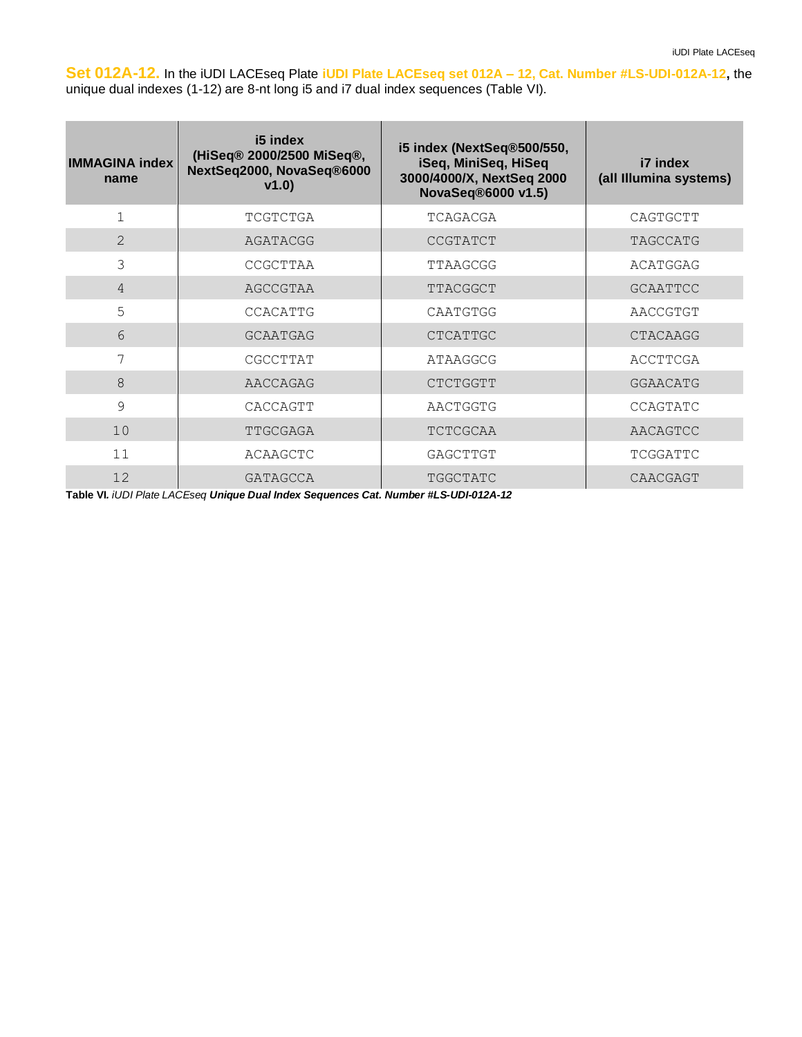**Set 012A-12.** In the iUDI LACEseq Plate **iUDI Plate LACEseq set 012A – 12, Cat. Number #LS-UDI-012A-12,** the unique dual indexes (1-12) are 8-nt long i5 and i7 dual index sequences (Table VI).

| <b>IMMAGINA index</b><br>name | i5 index<br>(HiSeq® 2000/2500 MiSeq®,<br>NextSeq2000, NovaSeq®6000<br>v1.0) | i5 index (NextSeq®500/550,<br>iSeq, MiniSeq, HiSeq<br>3000/4000/X, NextSeq 2000<br>NovaSeq®6000 v1.5) | i7 index<br>(all Illumina systems) |
|-------------------------------|-----------------------------------------------------------------------------|-------------------------------------------------------------------------------------------------------|------------------------------------|
| $\mathbf{1}$                  | TCGTCTGA                                                                    | TCAGACGA                                                                                              | CAGTGCTT                           |
| $\mathcal{L}$                 | AGATACGG                                                                    | <b>CCGTATCT</b>                                                                                       | TAGCCATG                           |
| 3                             | CCGCTTAA                                                                    | TTAAGCGG                                                                                              | ACATGGAG                           |
| $\overline{4}$                | AGCCGTAA                                                                    | TTACGGCT                                                                                              | <b>GCAATTCC</b>                    |
| 5                             | CCACATTG                                                                    | CAATGTGG                                                                                              | AACCGTGT                           |
| 6                             | <b>GCAATGAG</b>                                                             | <b>CTCATTGC</b>                                                                                       | <b>CTACAAGG</b>                    |
| 7                             | CGCCTTAT                                                                    | ATAAGGCG                                                                                              | ACCTTCGA                           |
| 8                             | AACCAGAG                                                                    | <b>CTCTGGTT</b>                                                                                       | GGAACATG                           |
| 9                             | CACCAGTT                                                                    | AACTGGTG                                                                                              | CCAGTATC                           |
| 10                            | TTGCGAGA                                                                    | TCTCGCAA                                                                                              | AACAGTCC                           |
| 11                            | ACAAGCTC                                                                    | GAGCTTGT                                                                                              | TCGGATTC                           |
| 12                            | GATAGCCA                                                                    | TGGCTATC                                                                                              | CAACGAGT                           |

**Table VI***. iUDI Plate LACEseq Unique Dual Index Sequences Cat. Number #LS-UDI-012A-12*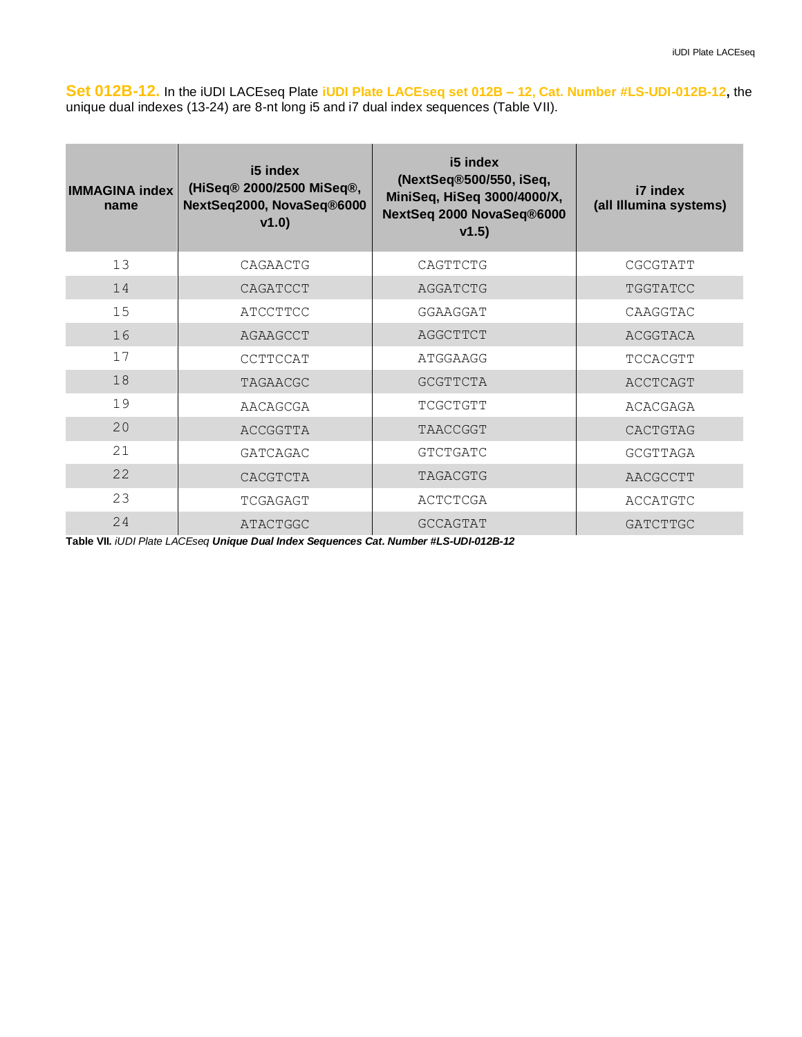**Set 012B-12.** In the iUDI LACEseq Plate **iUDI Plate LACEseq set 012B – 12, Cat. Number #LS-UDI-012B-12,** the unique dual indexes (13-24) are 8-nt long i5 and i7 dual index sequences (Table VII).

| <b>IMMAGINA index</b><br>name | i5 index<br>(HiSeq® 2000/2500 MiSeq®,<br>NextSeq2000, NovaSeq®6000<br>v1.0) | i5 index<br>(NextSeq®500/550, iSeq,<br>MiniSeq, HiSeq 3000/4000/X,<br>NextSeq 2000 NovaSeq®6000<br>v1.5) | i7 index<br>(all Illumina systems) |
|-------------------------------|-----------------------------------------------------------------------------|----------------------------------------------------------------------------------------------------------|------------------------------------|
| 13                            | CAGAACTG                                                                    | CAGTTCTG                                                                                                 | CGCGTATT                           |
| 14                            | CAGATCCT                                                                    | AGGATCTG                                                                                                 | TGGTATCC                           |
| 15                            | ATCCTTCC                                                                    | GGAAGGAT                                                                                                 | CAAGGTAC                           |
| 16                            | AGAAGCCT                                                                    | AGGCTTCT                                                                                                 | ACGGTACA                           |
| 17                            | CCTTCCAT                                                                    | ATGGAAGG                                                                                                 | TCCACGTT                           |
| 18                            | TAGAACGC                                                                    | <b>GCGTTCTA</b>                                                                                          | ACCTCAGT                           |
| 19                            | AACAGCGA                                                                    | TCGCTGTT                                                                                                 | ACACGAGA                           |
| 20                            | ACCGGTTA                                                                    | TAACCGGT                                                                                                 | CACTGTAG                           |
| 21                            | GATCAGAC                                                                    | <b>GTCTGATC</b>                                                                                          | <b>GCGTTAGA</b>                    |
| 22                            | CACGTCTA                                                                    | TAGACGTG                                                                                                 | AACGCCTT                           |
| 23                            | TCGAGAGT                                                                    | ACTCTCGA                                                                                                 | ACCATGTC                           |
| 24                            | <b>ATACTGGC</b>                                                             | <b>GCCAGTAT</b>                                                                                          | <b>GATCTTGC</b>                    |

**Table VII***. iUDI Plate LACEseq Unique Dual Index Sequences Cat. Number #LS-UDI-012B-12*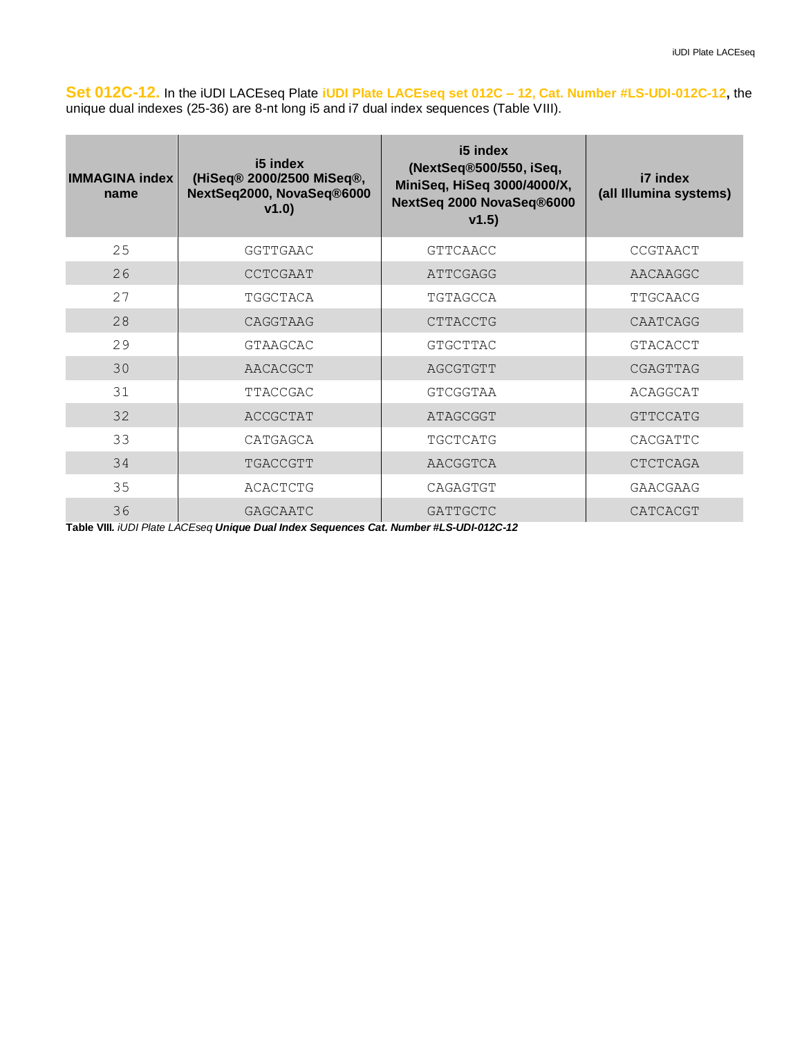**Set 012C-12.** In the iUDI LACEseq Plate **iUDI Plate LACEseq set 012C – 12, Cat. Number #LS-UDI-012C-12,** the unique dual indexes (25-36) are 8-nt long i5 and i7 dual index sequences (Table VIII).

| <b>IMMAGINA index</b><br>name | i5 index<br>(HiSeq® 2000/2500 MiSeq®,<br>NextSeq2000, NovaSeq®6000<br>v1.0) | i5 index<br>(NextSeq®500/550, iSeq,<br>MiniSeq, HiSeq 3000/4000/X,<br>NextSeq 2000 NovaSeq®6000<br>v1.5) | i7 index<br>(all Illumina systems) |
|-------------------------------|-----------------------------------------------------------------------------|----------------------------------------------------------------------------------------------------------|------------------------------------|
| 25                            | GGTTGAAC                                                                    | <b>GTTCAACC</b>                                                                                          | CCGTAACT                           |
| 26                            | CCTCGAAT                                                                    | ATTCGAGG                                                                                                 | AACAAGGC                           |
| 27                            | TGGCTACA                                                                    | TGTAGCCA                                                                                                 | TTGCAACG                           |
| 28                            | CAGGTAAG                                                                    | <b>CTTACCTG</b>                                                                                          | CAATCAGG                           |
| 29                            | GTAAGCAC                                                                    | GTGCTTAC                                                                                                 | <b>GTACACCT</b>                    |
| 30                            | AACACGCT                                                                    | AGCGTGTT                                                                                                 | CGAGTTAG                           |
| 31                            | TTACCGAC                                                                    | GTCGGTAA                                                                                                 | ACAGGCAT                           |
| 32                            | ACCGCTAT                                                                    | ATAGCGGT                                                                                                 | <b>GTTCCATG</b>                    |
| 33                            | CATGAGCA                                                                    | TGCTCATG                                                                                                 | CACGATTC                           |
| 34                            | TGACCGTT                                                                    | AACGGTCA                                                                                                 | <b>CTCTCAGA</b>                    |
| 35                            | ACACTCTG                                                                    | CAGAGTGT                                                                                                 | <b>GAACGAAG</b>                    |
| 36                            | GAGCAATC                                                                    | GATTGCTC                                                                                                 | CATCACGT                           |

**Table VIII***. iUDI Plate LACEseq Unique Dual Index Sequences Cat. Number #LS-UDI-012C-12*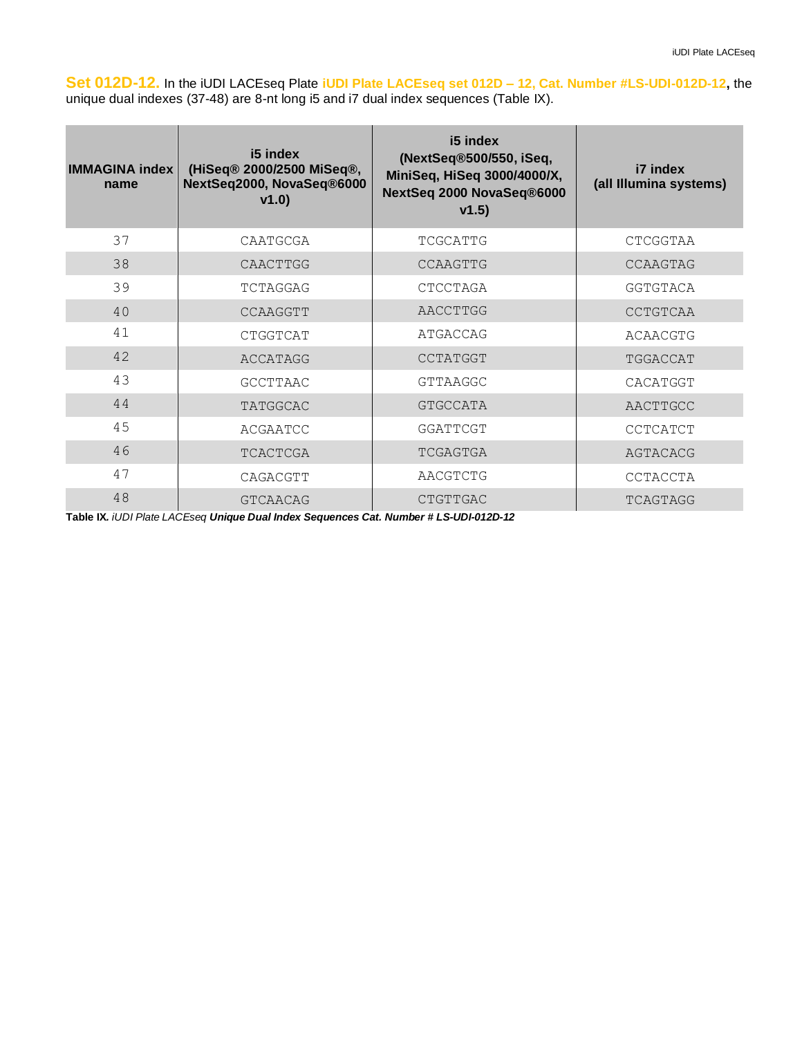**Set 012D-12.** In the iUDI LACEseq Plate **iUDI Plate LACEseq set 012D – 12, Cat. Number #LS-UDI-012D-12,** the unique dual indexes (37-48) are 8-nt long i5 and i7 dual index sequences (Table IX).

| <b>IMMAGINA index</b><br>name | i5 index<br>(HiSeq® 2000/2500 MiSeq®,<br>NextSeq2000, NovaSeq®6000<br>v1.0) | i5 index<br>(NextSeq®500/550, iSeq,<br>MiniSeq, HiSeq 3000/4000/X,<br>NextSeq 2000 NovaSeq®6000<br>v1.5) | i7 index<br>(all Illumina systems) |
|-------------------------------|-----------------------------------------------------------------------------|----------------------------------------------------------------------------------------------------------|------------------------------------|
| 37                            | CAATGCGA                                                                    | TCGCATTG                                                                                                 | CTCGGTAA                           |
| 38                            | CAACTTGG                                                                    | CCAAGTTG                                                                                                 | CCAAGTAG                           |
| 39                            | TCTAGGAG                                                                    | CTCCTAGA                                                                                                 | GGTGTACA                           |
| 40                            | CCAAGGTT                                                                    | AACCTTGG                                                                                                 | CCTGTCAA                           |
| 41                            | CTGGTCAT                                                                    | ATGACCAG                                                                                                 | ACAACGTG                           |
| 42                            | ACCATAGG                                                                    | CCTATGGT                                                                                                 | TGGACCAT                           |
| 43                            | GCCTTAAC                                                                    | <b>GTTAAGGC</b>                                                                                          | CACATGGT                           |
| 44                            | TATGGCAC                                                                    | <b>GTGCCATA</b>                                                                                          | AACTTGCC                           |
| 45                            | ACGAATCC                                                                    | GGATTCGT                                                                                                 | CCTCATCT                           |
| 46                            | TCACTCGA                                                                    | TCGAGTGA                                                                                                 | AGTACACG                           |
| 47                            | CAGACGTT                                                                    | AACGTCTG                                                                                                 | CCTACCTA                           |
| 48                            | <b>GTCAACAG</b>                                                             | CTGTTGAC                                                                                                 | TCAGTAGG                           |

**Table IX***. iUDI Plate LACEseq Unique Dual Index Sequences Cat. Number # LS-UDI-012D-12*